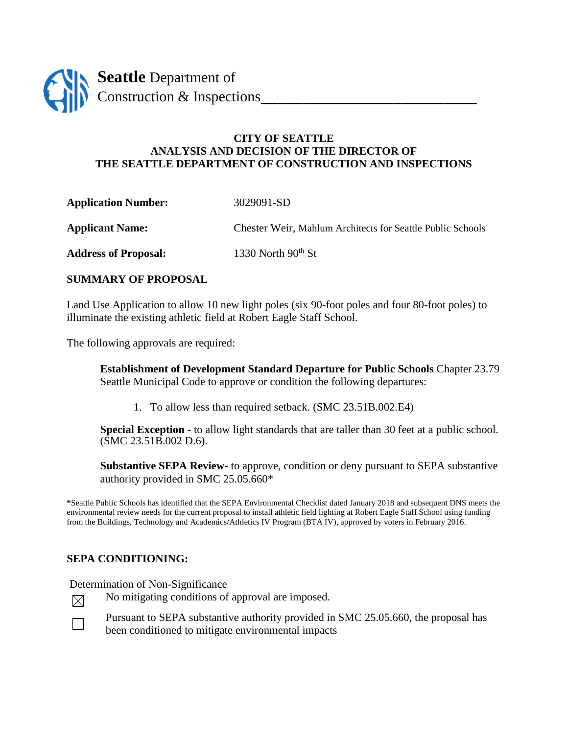

## **CITY OF SEATTLE ANALYSIS AND DECISION OF THE DIRECTOR OF THE SEATTLE DEPARTMENT OF CONSTRUCTION AND INSPECTIONS**

**Application Number:** 3029091-SD

**Applicant Name:** Chester Weir, Mahlum Architects for Seattle Public Schools

Address of Proposal: 1330 North 90<sup>th</sup> St

## **SUMMARY OF PROPOSAL**

Land Use Application to allow 10 new light poles (six 90-foot poles and four 80-foot poles) to illuminate the existing athletic field at Robert Eagle Staff School.

The following approvals are required:

**Establishment of Development Standard Departure for Public Schools** Chapter 23.79 Seattle Municipal Code to approve or condition the following departures:

1. To allow less than required setback. (SMC 23.51B.002.E4)

**Special Exception** - to allow light standards that are taller than 30 feet at a public school. (SMC 23.51B.002 D.6).

**Substantive SEPA Review-** to approve, condition or deny pursuant to SEPA substantive authority provided in SMC 25.05.660\*

**\***Seattle Public Schools has identified that the SEPA Environmental Checklist dated January 2018 and subsequent DNS meets the environmental review needs for the current proposal to install athletic field lighting at Robert Eagle Staff School using funding from the Buildings, Technology and Academics/Athletics IV Program (BTA IV), approved by voters in February 2016.

## **SEPA CONDITIONING:**

Determination of Non-Significance



No mitigating conditions of approval are imposed.

Pursuant to SEPA substantive authority provided in SMC 25.05.660, the proposal has been conditioned to mitigate environmental impacts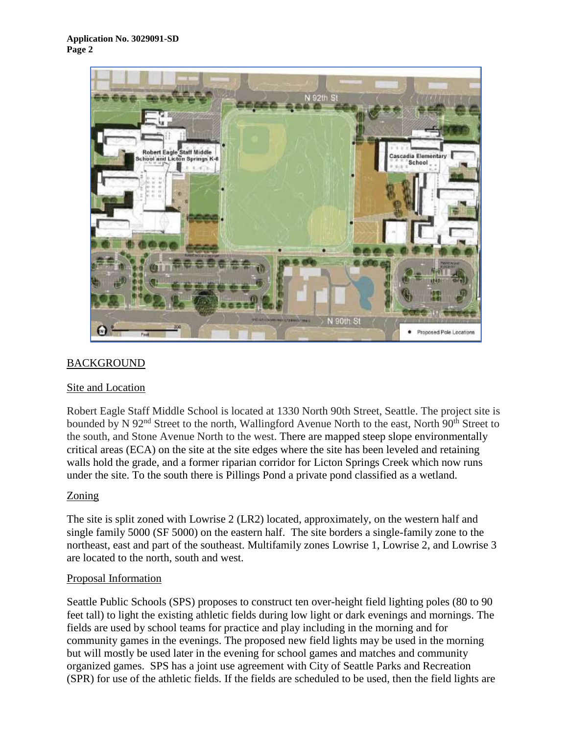

# **BACKGROUND**

## Site and Location

Robert Eagle Staff Middle School is located at 1330 North 90th Street, Seattle. The project site is bounded by N 92<sup>nd</sup> Street to the north, Wallingford Avenue North to the east, North 90<sup>th</sup> Street to the south, and Stone Avenue North to the west. There are mapped steep slope environmentally critical areas (ECA) on the site at the site edges where the site has been leveled and retaining walls hold the grade, and a former riparian corridor for Licton Springs Creek which now runs under the site. To the south there is Pillings Pond a private pond classified as a wetland.

### Zoning

The site is split zoned with Lowrise 2 (LR2) located, approximately, on the western half and single family 5000 (SF 5000) on the eastern half. The site borders a single-family zone to the northeast, east and part of the southeast. Multifamily zones Lowrise 1, Lowrise 2, and Lowrise 3 are located to the north, south and west.

### Proposal Information

Seattle Public Schools (SPS) proposes to construct ten over-height field lighting poles (80 to 90 feet tall) to light the existing athletic fields during low light or dark evenings and mornings. The fields are used by school teams for practice and play including in the morning and for community games in the evenings. The proposed new field lights may be used in the morning but will mostly be used later in the evening for school games and matches and community organized games. SPS has a joint use agreement with City of Seattle Parks and Recreation (SPR) for use of the athletic fields. If the fields are scheduled to be used, then the field lights are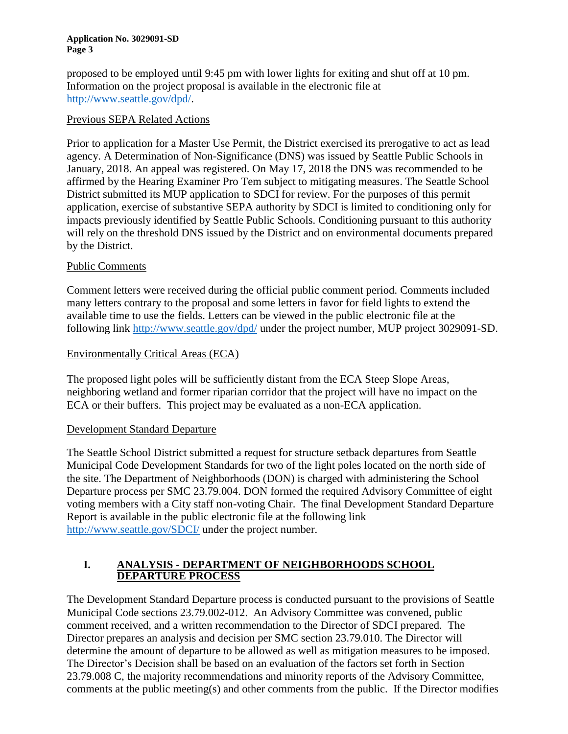proposed to be employed until 9:45 pm with lower lights for exiting and shut off at 10 pm. Information on the project proposal is available in the electronic file at [http://www.seattle.gov/dpd/.](http://www.seattle.gov/dpd/)

## Previous SEPA Related Actions

Prior to application for a Master Use Permit, the District exercised its prerogative to act as lead agency. A Determination of Non-Significance (DNS) was issued by Seattle Public Schools in January, 2018. An appeal was registered. On May 17, 2018 the DNS was recommended to be affirmed by the Hearing Examiner Pro Tem subject to mitigating measures. The Seattle School District submitted its MUP application to SDCI for review. For the purposes of this permit application, exercise of substantive SEPA authority by SDCI is limited to conditioning only for impacts previously identified by Seattle Public Schools. Conditioning pursuant to this authority will rely on the threshold DNS issued by the District and on environmental documents prepared by the District.

## Public Comments

Comment letters were received during the official public comment period. Comments included many letters contrary to the proposal and some letters in favor for field lights to extend the available time to use the fields. Letters can be viewed in the public electronic file at the following link<http://www.seattle.gov/dpd/> under the project number, MUP project 3029091-SD.

## Environmentally Critical Areas (ECA)

The proposed light poles will be sufficiently distant from the ECA Steep Slope Areas, neighboring wetland and former riparian corridor that the project will have no impact on the ECA or their buffers. This project may be evaluated as a non-ECA application.

### Development Standard Departure

The Seattle School District submitted a request for structure setback departures from Seattle Municipal Code Development Standards for two of the light poles located on the north side of the site. The Department of Neighborhoods (DON) is charged with administering the School Departure process per SMC 23.79.004. DON formed the required Advisory Committee of eight voting members with a City staff non-voting Chair. The final Development Standard Departure Report is available in the public electronic file at the following link [http://www.seattle.gov/SDCI/](http://www.seattle.gov/dpd/) under the project number.

## **I. ANALYSIS - DEPARTMENT OF NEIGHBORHOODS SCHOOL DEPARTURE PROCESS**

The Development Standard Departure process is conducted pursuant to the provisions of Seattle Municipal Code sections 23.79.002-012. An Advisory Committee was convened, public comment received, and a written recommendation to the Director of SDCI prepared. The Director prepares an analysis and decision per SMC section 23.79.010. The Director will determine the amount of departure to be allowed as well as mitigation measures to be imposed. The Director's Decision shall be based on an evaluation of the factors set forth in Section 23.79.008 C, the majority recommendations and minority reports of the Advisory Committee, comments at the public meeting(s) and other comments from the public. If the Director modifies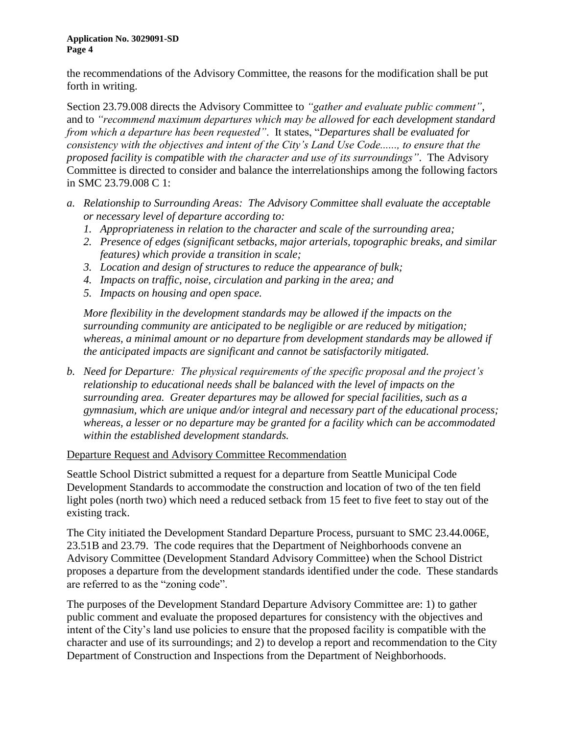the recommendations of the Advisory Committee, the reasons for the modification shall be put forth in writing.

Section 23.79.008 directs the Advisory Committee to *"gather and evaluate public comment"*, and to *"recommend maximum departures which may be allowed for each development standard from which a departure has been requested"*. It states, "*Departures shall be evaluated for consistency with the objectives and intent of the City's Land Use Code......, to ensure that the proposed facility is compatible with the character and use of its surroundings"*. The Advisory Committee is directed to consider and balance the interrelationships among the following factors in SMC 23.79.008 C 1:

- *a. Relationship to Surrounding Areas: The Advisory Committee shall evaluate the acceptable or necessary level of departure according to:*
	- *1. Appropriateness in relation to the character and scale of the surrounding area;*
	- *2. Presence of edges (significant setbacks, major arterials, topographic breaks, and similar features) which provide a transition in scale;*
	- *3. Location and design of structures to reduce the appearance of bulk;*
	- *4. Impacts on traffic, noise, circulation and parking in the area; and*
	- *5. Impacts on housing and open space.*

*More flexibility in the development standards may be allowed if the impacts on the surrounding community are anticipated to be negligible or are reduced by mitigation; whereas, a minimal amount or no departure from development standards may be allowed if the anticipated impacts are significant and cannot be satisfactorily mitigated.*

*b. Need for Departure: The physical requirements of the specific proposal and the project's relationship to educational needs shall be balanced with the level of impacts on the surrounding area. Greater departures may be allowed for special facilities, such as a gymnasium, which are unique and/or integral and necessary part of the educational process; whereas, a lesser or no departure may be granted for a facility which can be accommodated within the established development standards.*

### Departure Request and Advisory Committee Recommendation

Seattle School District submitted a request for a departure from Seattle Municipal Code Development Standards to accommodate the construction and location of two of the ten field light poles (north two) which need a reduced setback from 15 feet to five feet to stay out of the existing track.

The City initiated the Development Standard Departure Process, pursuant to SMC 23.44.006E, 23.51B and 23.79. The code requires that the Department of Neighborhoods convene an Advisory Committee (Development Standard Advisory Committee) when the School District proposes a departure from the development standards identified under the code. These standards are referred to as the "zoning code".

The purposes of the Development Standard Departure Advisory Committee are: 1) to gather public comment and evaluate the proposed departures for consistency with the objectives and intent of the City's land use policies to ensure that the proposed facility is compatible with the character and use of its surroundings; and 2) to develop a report and recommendation to the City Department of Construction and Inspections from the Department of Neighborhoods.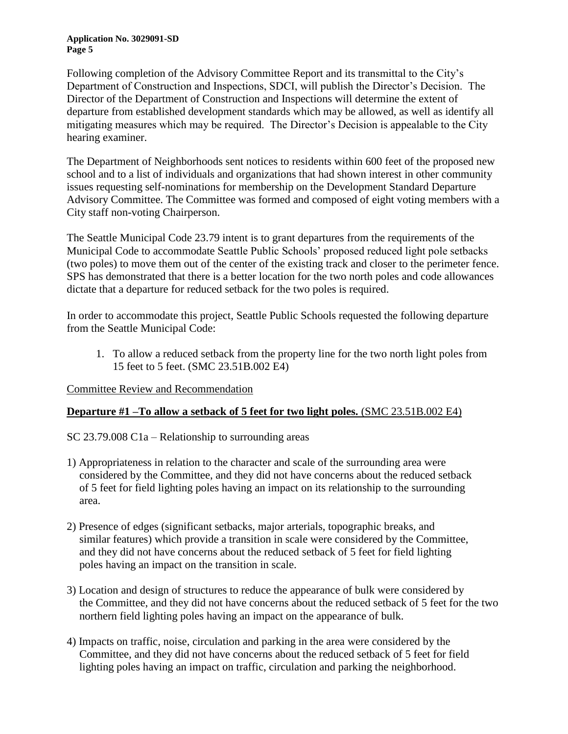Following completion of the Advisory Committee Report and its transmittal to the City's Department of Construction and Inspections, SDCI, will publish the Director's Decision. The Director of the Department of Construction and Inspections will determine the extent of departure from established development standards which may be allowed, as well as identify all mitigating measures which may be required. The Director's Decision is appealable to the City hearing examiner.

The Department of Neighborhoods sent notices to residents within 600 feet of the proposed new school and to a list of individuals and organizations that had shown interest in other community issues requesting self-nominations for membership on the Development Standard Departure Advisory Committee. The Committee was formed and composed of eight voting members with a City staff non-voting Chairperson.

The Seattle Municipal Code 23.79 intent is to grant departures from the requirements of the Municipal Code to accommodate Seattle Public Schools' proposed reduced light pole setbacks (two poles) to move them out of the center of the existing track and closer to the perimeter fence. SPS has demonstrated that there is a better location for the two north poles and code allowances dictate that a departure for reduced setback for the two poles is required.

In order to accommodate this project, Seattle Public Schools requested the following departure from the Seattle Municipal Code:

1. To allow a reduced setback from the property line for the two north light poles from 15 feet to 5 feet. (SMC 23.51B.002 E4)

Committee Review and Recommendation

## **Departure #1 –To allow a setback of 5 feet for two light poles.** (SMC 23.51B.002 E4)

SC 23.79.008 C1a – Relationship to surrounding areas

- 1) Appropriateness in relation to the character and scale of the surrounding area were considered by the Committee, and they did not have concerns about the reduced setback of 5 feet for field lighting poles having an impact on its relationship to the surrounding area.
- 2) Presence of edges (significant setbacks, major arterials, topographic breaks, and similar features) which provide a transition in scale were considered by the Committee, and they did not have concerns about the reduced setback of 5 feet for field lighting poles having an impact on the transition in scale.
- 3) Location and design of structures to reduce the appearance of bulk were considered by the Committee, and they did not have concerns about the reduced setback of 5 feet for the two northern field lighting poles having an impact on the appearance of bulk.
- 4) Impacts on traffic, noise, circulation and parking in the area were considered by the Committee, and they did not have concerns about the reduced setback of 5 feet for field lighting poles having an impact on traffic, circulation and parking the neighborhood.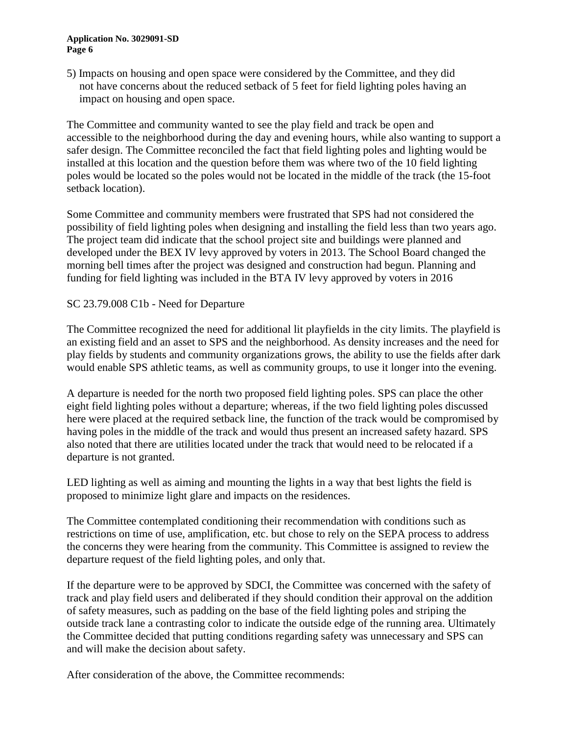5) Impacts on housing and open space were considered by the Committee, and they did not have concerns about the reduced setback of 5 feet for field lighting poles having an impact on housing and open space.

The Committee and community wanted to see the play field and track be open and accessible to the neighborhood during the day and evening hours, while also wanting to support a safer design. The Committee reconciled the fact that field lighting poles and lighting would be installed at this location and the question before them was where two of the 10 field lighting poles would be located so the poles would not be located in the middle of the track (the 15-foot setback location).

Some Committee and community members were frustrated that SPS had not considered the possibility of field lighting poles when designing and installing the field less than two years ago. The project team did indicate that the school project site and buildings were planned and developed under the BEX IV levy approved by voters in 2013. The School Board changed the morning bell times after the project was designed and construction had begun. Planning and funding for field lighting was included in the BTA IV levy approved by voters in 2016

## SC 23.79.008 C1b - Need for Departure

The Committee recognized the need for additional lit playfields in the city limits. The playfield is an existing field and an asset to SPS and the neighborhood. As density increases and the need for play fields by students and community organizations grows, the ability to use the fields after dark would enable SPS athletic teams, as well as community groups, to use it longer into the evening.

A departure is needed for the north two proposed field lighting poles. SPS can place the other eight field lighting poles without a departure; whereas, if the two field lighting poles discussed here were placed at the required setback line, the function of the track would be compromised by having poles in the middle of the track and would thus present an increased safety hazard. SPS also noted that there are utilities located under the track that would need to be relocated if a departure is not granted.

LED lighting as well as aiming and mounting the lights in a way that best lights the field is proposed to minimize light glare and impacts on the residences.

The Committee contemplated conditioning their recommendation with conditions such as restrictions on time of use, amplification, etc. but chose to rely on the SEPA process to address the concerns they were hearing from the community. This Committee is assigned to review the departure request of the field lighting poles, and only that.

If the departure were to be approved by SDCI, the Committee was concerned with the safety of track and play field users and deliberated if they should condition their approval on the addition of safety measures, such as padding on the base of the field lighting poles and striping the outside track lane a contrasting color to indicate the outside edge of the running area. Ultimately the Committee decided that putting conditions regarding safety was unnecessary and SPS can and will make the decision about safety.

After consideration of the above, the Committee recommends: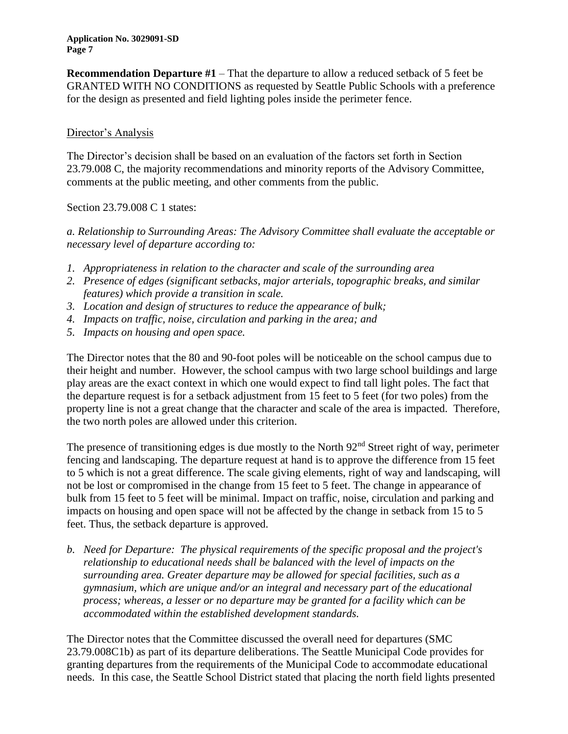**Recommendation Departure #1** – That the departure to allow a reduced setback of 5 feet be GRANTED WITH NO CONDITIONS as requested by Seattle Public Schools with a preference for the design as presented and field lighting poles inside the perimeter fence.

## Director's Analysis

The Director's decision shall be based on an evaluation of the factors set forth in Section 23.79.008 C, the majority recommendations and minority reports of the Advisory Committee, comments at the public meeting, and other comments from the public.

Section 23.79.008 C 1 states:

*a. Relationship to Surrounding Areas: The Advisory Committee shall evaluate the acceptable or necessary level of departure according to:*

- *1. Appropriateness in relation to the character and scale of the surrounding area*
- *2. Presence of edges (significant setbacks, major arterials, topographic breaks, and similar features) which provide a transition in scale.*
- *3. Location and design of structures to reduce the appearance of bulk;*
- *4. Impacts on traffic, noise, circulation and parking in the area; and*
- *5. Impacts on housing and open space.*

The Director notes that the 80 and 90-foot poles will be noticeable on the school campus due to their height and number. However, the school campus with two large school buildings and large play areas are the exact context in which one would expect to find tall light poles. The fact that the departure request is for a setback adjustment from 15 feet to 5 feet (for two poles) from the property line is not a great change that the character and scale of the area is impacted. Therefore, the two north poles are allowed under this criterion.

The presence of transitioning edges is due mostly to the North 92<sup>nd</sup> Street right of way, perimeter fencing and landscaping. The departure request at hand is to approve the difference from 15 feet to 5 which is not a great difference. The scale giving elements, right of way and landscaping, will not be lost or compromised in the change from 15 feet to 5 feet. The change in appearance of bulk from 15 feet to 5 feet will be minimal. Impact on traffic, noise, circulation and parking and impacts on housing and open space will not be affected by the change in setback from 15 to 5 feet. Thus, the setback departure is approved.

*b. Need for Departure: The physical requirements of the specific proposal and the project's relationship to educational needs shall be balanced with the level of impacts on the surrounding area. Greater departure may be allowed for special facilities, such as a gymnasium, which are unique and/or an integral and necessary part of the educational process; whereas, a lesser or no departure may be granted for a facility which can be accommodated within the established development standards.*

The Director notes that the Committee discussed the overall need for departures (SMC 23.79.008C1b) as part of its departure deliberations. The Seattle Municipal Code provides for granting departures from the requirements of the Municipal Code to accommodate educational needs. In this case, the Seattle School District stated that placing the north field lights presented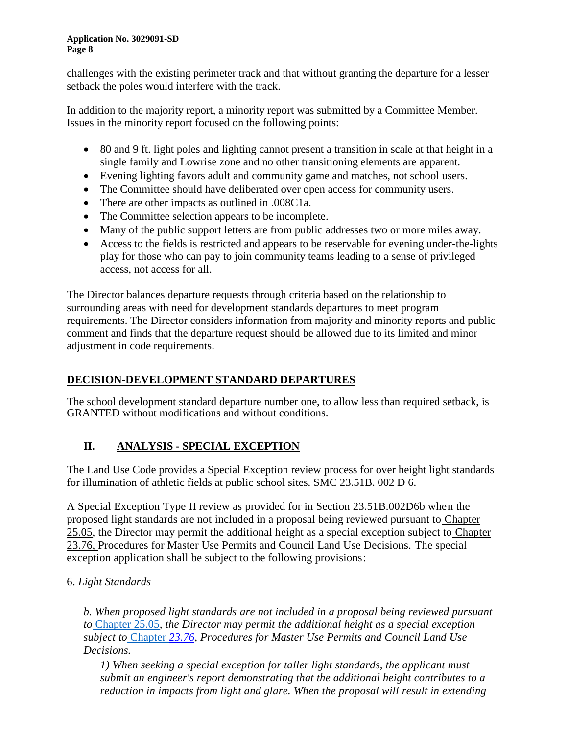challenges with the existing perimeter track and that without granting the departure for a lesser setback the poles would interfere with the track.

In addition to the majority report, a minority report was submitted by a Committee Member. Issues in the minority report focused on the following points:

- 80 and 9 ft. light poles and lighting cannot present a transition in scale at that height in a single family and Lowrise zone and no other transitioning elements are apparent.
- Evening lighting favors adult and community game and matches, not school users.
- The Committee should have deliberated over open access for community users.
- There are other impacts as outlined in .008C1a.
- The Committee selection appears to be incomplete.
- Many of the public support letters are from public addresses two or more miles away.
- Access to the fields is restricted and appears to be reservable for evening under-the-lights play for those who can pay to join community teams leading to a sense of privileged access, not access for all.

The Director balances departure requests through criteria based on the relationship to surrounding areas with need for development standards departures to meet program requirements. The Director considers information from majority and minority reports and public comment and finds that the departure request should be allowed due to its limited and minor adjustment in code requirements.

# **DECISION-DEVELOPMENT STANDARD DEPARTURES**

The school development standard departure number one, to allow less than required setback, is GRANTED without modifications and without conditions.

# **II. ANALYSIS - SPECIAL EXCEPTION**

The Land Use Code provides a Special Exception review process for over height light standards for illumination of athletic fields at public school sites. SMC 23.51B. 002 D 6.

A Special Exception Type II review as provided for in Section 23.51B.002D6b when the proposed light standards are not included in a proposal being reviewed pursuant to [Chapter](https://library.municode.com/wa/seattle/codes/municipal_code?nodeId=TIT25ENPRHIPR_CH25.05ENPOPR)  [25.05,](https://library.municode.com/wa/seattle/codes/municipal_code?nodeId=TIT25ENPRHIPR_CH25.05ENPOPR) the Director may permit the additional height as a special exception subject to Chapter 23.76, Procedures for Master Use Permits and Council Land Use Decisions. The special exception application shall be subject to the following provisions:

# 6. *Light Standards*

*b. When proposed light standards are not included in a proposal being reviewed pursuant to* [Chapter 25.05](https://library.municode.com/wa/seattle/codes/municipal_code?nodeId=TIT25ENPRHIPR_CH25.05ENPOPR)*, the Director may permit the additional height as a special exception subject to* [Chapter](https://library.municode.com/wa/seattle/codes/municipal_code?nodeId=TIT23LAUSCO_SUBTITLE_IVAD_CH23.76PRMAUSPECOLAUSDE) *23.76, Procedures for Master Use Permits and Council Land Use Decisions.* 

*1) When seeking a special exception for taller light standards, the applicant must submit an engineer's report demonstrating that the additional height contributes to a reduction in impacts from light and glare. When the proposal will result in extending*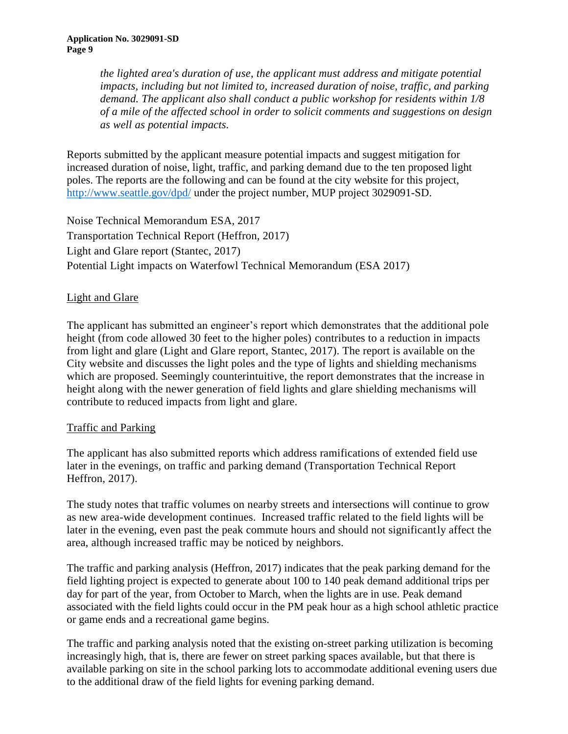*the lighted area's duration of use, the applicant must address and mitigate potential impacts, including but not limited to, increased duration of noise, traffic, and parking demand. The applicant also shall conduct a public workshop for residents within 1/8 of a mile of the affected school in order to solicit comments and suggestions on design as well as potential impacts.* 

Reports submitted by the applicant measure potential impacts and suggest mitigation for increased duration of noise, light, traffic, and parking demand due to the ten proposed light poles. The reports are the following and can be found at the city website for this project, <http://www.seattle.gov/dpd/> under the project number, MUP project 3029091-SD.

Noise Technical Memorandum ESA, 2017 Transportation Technical Report (Heffron, 2017) Light and Glare report (Stantec, 2017) Potential Light impacts on Waterfowl Technical Memorandum (ESA 2017)

# Light and Glare

The applicant has submitted an engineer's report which demonstrates that the additional pole height (from code allowed 30 feet to the higher poles) contributes to a reduction in impacts from light and glare (Light and Glare report, Stantec, 2017). The report is available on the City website and discusses the light poles and the type of lights and shielding mechanisms which are proposed. Seemingly counterintuitive, the report demonstrates that the increase in height along with the newer generation of field lights and glare shielding mechanisms will contribute to reduced impacts from light and glare.

## Traffic and Parking

The applicant has also submitted reports which address ramifications of extended field use later in the evenings, on traffic and parking demand (Transportation Technical Report Heffron, 2017).

The study notes that traffic volumes on nearby streets and intersections will continue to grow as new area-wide development continues. Increased traffic related to the field lights will be later in the evening, even past the peak commute hours and should not significantly affect the area, although increased traffic may be noticed by neighbors.

The traffic and parking analysis (Heffron, 2017) indicates that the peak parking demand for the field lighting project is expected to generate about 100 to 140 peak demand additional trips per day for part of the year, from October to March, when the lights are in use. Peak demand associated with the field lights could occur in the PM peak hour as a high school athletic practice or game ends and a recreational game begins.

The traffic and parking analysis noted that the existing on-street parking utilization is becoming increasingly high, that is, there are fewer on street parking spaces available, but that there is available parking on site in the school parking lots to accommodate additional evening users due to the additional draw of the field lights for evening parking demand.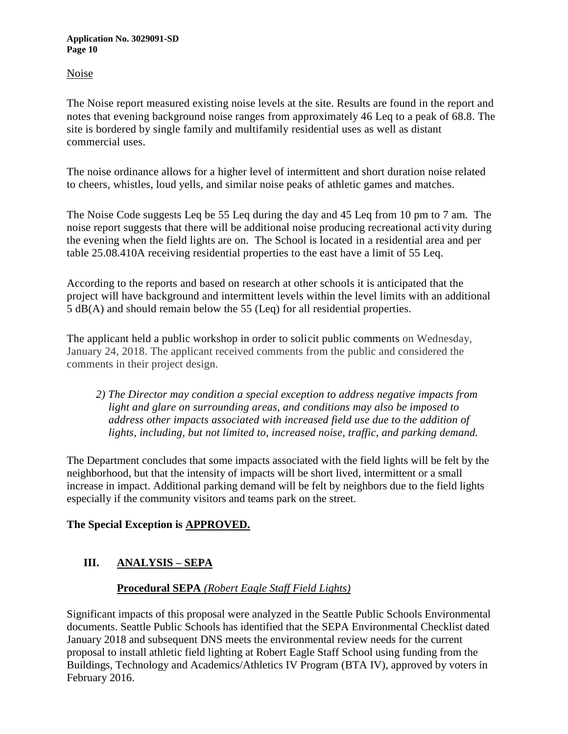Noise

The Noise report measured existing noise levels at the site. Results are found in the report and notes that evening background noise ranges from approximately 46 Leq to a peak of 68.8. The site is bordered by single family and multifamily residential uses as well as distant commercial uses.

The noise ordinance allows for a higher level of intermittent and short duration noise related to cheers, whistles, loud yells, and similar noise peaks of athletic games and matches.

The Noise Code suggests Leq be 55 Leq during the day and 45 Leq from 10 pm to 7 am. The noise report suggests that there will be additional noise producing recreational activity during the evening when the field lights are on. The School is located in a residential area and per table 25.08.410A receiving residential properties to the east have a limit of 55 Leq.

According to the reports and based on research at other schools it is anticipated that the project will have background and intermittent levels within the level limits with an additional 5 dB(A) and should remain below the 55 (Leq) for all residential properties.

The applicant held a public workshop in order to solicit public comments on Wednesday, January 24, 2018. The applicant received comments from the public and considered the comments in their project design.

*2) The Director may condition a special exception to address negative impacts from light and glare on surrounding areas, and conditions may also be imposed to address other impacts associated with increased field use due to the addition of lights, including, but not limited to, increased noise, traffic, and parking demand.* 

The Department concludes that some impacts associated with the field lights will be felt by the neighborhood, but that the intensity of impacts will be short lived, intermittent or a small increase in impact. Additional parking demand will be felt by neighbors due to the field lights especially if the community visitors and teams park on the street.

# **The Special Exception is APPROVED.**

# **III. ANALYSIS – SEPA**

## **Procedural SEPA** *(Robert Eagle Staff Field Lights)*

Significant impacts of this proposal were analyzed in the Seattle Public Schools Environmental documents. Seattle Public Schools has identified that the SEPA Environmental Checklist dated January 2018 and subsequent DNS meets the environmental review needs for the current proposal to install athletic field lighting at Robert Eagle Staff School using funding from the Buildings, Technology and Academics/Athletics IV Program (BTA IV), approved by voters in February 2016.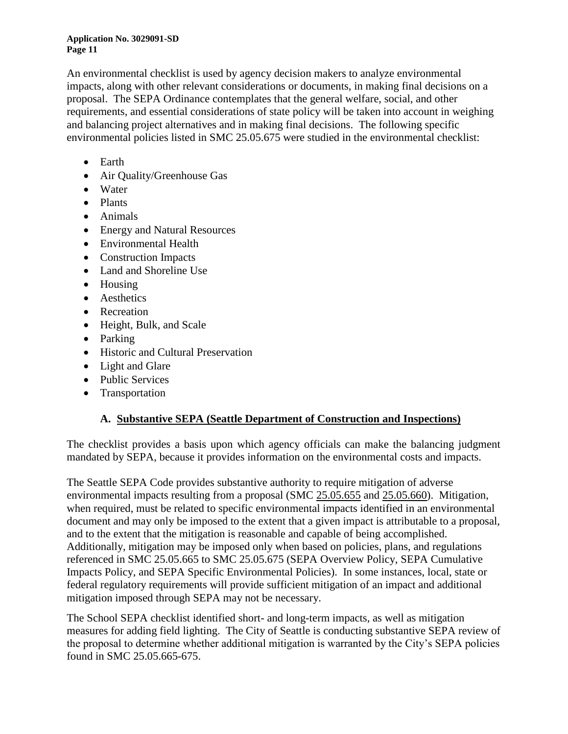An environmental checklist is used by agency decision makers to analyze environmental impacts, along with other relevant considerations or documents, in making final decisions on a proposal. The SEPA Ordinance contemplates that the general welfare, social, and other requirements, and essential considerations of state policy will be taken into account in weighing and balancing project alternatives and in making final decisions. The following specific environmental policies listed in SMC 25.05.675 were studied in the environmental checklist:

- Earth
- Air Quality/Greenhouse Gas
- Water
- Plants
- Animals
- Energy and Natural Resources
- Environmental Health
- Construction Impacts
- Land and Shoreline Use
- Housing
- Aesthetics
- Recreation
- Height, Bulk, and Scale
- Parking
- Historic and Cultural Preservation
- Light and Glare
- Public Services
- Transportation

# **A. Substantive SEPA (Seattle Department of Construction and Inspections)**

The checklist provides a basis upon which agency officials can make the balancing judgment mandated by SEPA, because it provides information on the environmental costs and impacts.

The Seattle SEPA Code provides substantive authority to require mitigation of adverse environmental impacts resulting from a proposal (SMC [25.05.655](http://clerk.ci.seattle.wa.us/~scripts/nph-brs.exe?s1=25.05.655&s2=&S3=&Sect4=AND&l=20&Sect1=IMAGE&Sect3=PLURON&Sect5=CODE1&d=CODE&p=1&u=%2F%7Epublic%2Fcode1.htm&r=1&Sect6=HITOFF&f=G) and [25.05.660\)](http://clerk.ci.seattle.wa.us/~scripts/nph-brs.exe?s1=25.05.660&s2=&S3=&Sect4=AND&l=20&Sect1=IMAGE&Sect3=PLURON&Sect5=CODE1&d=CODE&p=1&u=%2F%7Epublic%2Fcode1.htm&r=1&Sect6=HITOFF&f=G). Mitigation, when required, must be related to specific environmental impacts identified in an environmental document and may only be imposed to the extent that a given impact is attributable to a proposal, and to the extent that the mitigation is reasonable and capable of being accomplished. Additionally, mitigation may be imposed only when based on policies, plans, and regulations referenced in SMC 25.05.665 to SMC 25.05.675 (SEPA Overview Policy, SEPA Cumulative Impacts Policy, and SEPA Specific Environmental Policies). In some instances, local, state or federal regulatory requirements will provide sufficient mitigation of an impact and additional mitigation imposed through SEPA may not be necessary.

The School SEPA checklist identified short- and long-term impacts, as well as mitigation measures for adding field lighting. The City of Seattle is conducting substantive SEPA review of the proposal to determine whether additional mitigation is warranted by the City's SEPA policies found in SMC 25.05.665-675.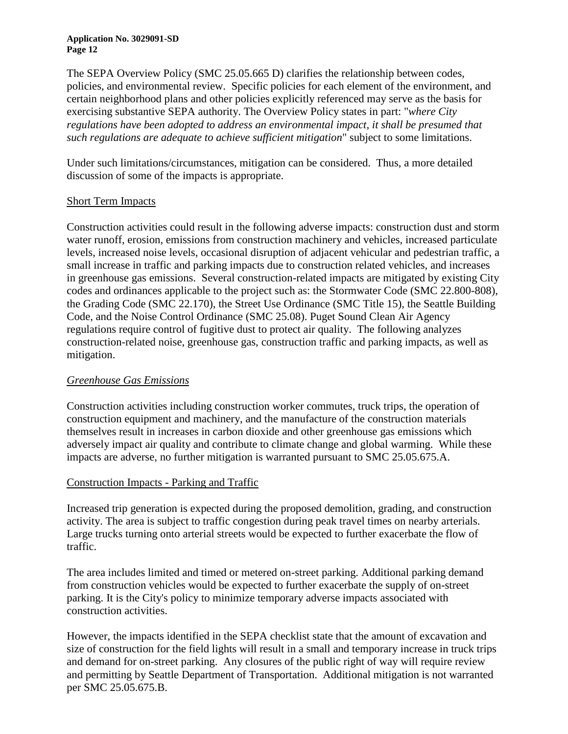The SEPA Overview Policy (SMC 25.05.665 D) clarifies the relationship between codes, policies, and environmental review. Specific policies for each element of the environment, and certain neighborhood plans and other policies explicitly referenced may serve as the basis for exercising substantive SEPA authority. The Overview Policy states in part: "*where City regulations have been adopted to address an environmental impact, it shall be presumed that such regulations are adequate to achieve sufficient mitigation*" subject to some limitations.

Under such limitations/circumstances, mitigation can be considered. Thus, a more detailed discussion of some of the impacts is appropriate.

## Short Term Impacts

Construction activities could result in the following adverse impacts: construction dust and storm water runoff, erosion, emissions from construction machinery and vehicles, increased particulate levels, increased noise levels, occasional disruption of adjacent vehicular and pedestrian traffic, a small increase in traffic and parking impacts due to construction related vehicles, and increases in greenhouse gas emissions. Several construction-related impacts are mitigated by existing City codes and ordinances applicable to the project such as: the Stormwater Code (SMC 22.800-808), the Grading Code (SMC 22.170), the Street Use Ordinance (SMC Title 15), the Seattle Building Code, and the Noise Control Ordinance (SMC 25.08). Puget Sound Clean Air Agency regulations require control of fugitive dust to protect air quality. The following analyzes construction-related noise, greenhouse gas, construction traffic and parking impacts, as well as mitigation.

## *Greenhouse Gas Emissions*

Construction activities including construction worker commutes, truck trips, the operation of construction equipment and machinery, and the manufacture of the construction materials themselves result in increases in carbon dioxide and other greenhouse gas emissions which adversely impact air quality and contribute to climate change and global warming. While these impacts are adverse, no further mitigation is warranted pursuant to SMC 25.05.675.A.

### Construction Impacts - Parking and Traffic

Increased trip generation is expected during the proposed demolition, grading, and construction activity. The area is subject to traffic congestion during peak travel times on nearby arterials. Large trucks turning onto arterial streets would be expected to further exacerbate the flow of traffic.

The area includes limited and timed or metered on-street parking. Additional parking demand from construction vehicles would be expected to further exacerbate the supply of on-street parking. It is the City's policy to minimize temporary adverse impacts associated with construction activities.

However, the impacts identified in the SEPA checklist state that the amount of excavation and size of construction for the field lights will result in a small and temporary increase in truck trips and demand for on-street parking. Any closures of the public right of way will require review and permitting by Seattle Department of Transportation. Additional mitigation is not warranted per SMC 25.05.675.B.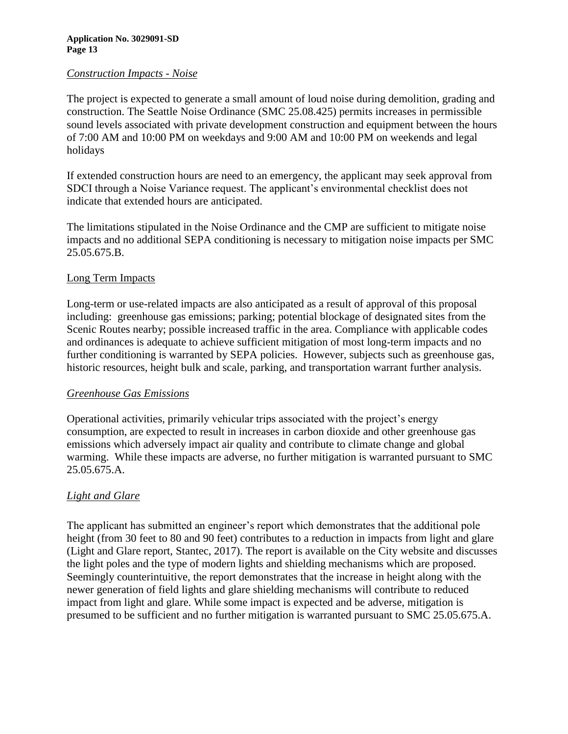### *Construction Impacts - Noise*

The project is expected to generate a small amount of loud noise during demolition, grading and construction. The Seattle Noise Ordinance (SMC 25.08.425) permits increases in permissible sound levels associated with private development construction and equipment between the hours of 7:00 AM and 10:00 PM on weekdays and 9:00 AM and 10:00 PM on weekends and legal holidays

If extended construction hours are need to an emergency, the applicant may seek approval from SDCI through a Noise Variance request. The applicant's environmental checklist does not indicate that extended hours are anticipated.

The limitations stipulated in the Noise Ordinance and the CMP are sufficient to mitigate noise impacts and no additional SEPA conditioning is necessary to mitigation noise impacts per SMC 25.05.675.B.

## Long Term Impacts

Long-term or use-related impacts are also anticipated as a result of approval of this proposal including: greenhouse gas emissions; parking; potential blockage of designated sites from the Scenic Routes nearby; possible increased traffic in the area. Compliance with applicable codes and ordinances is adequate to achieve sufficient mitigation of most long-term impacts and no further conditioning is warranted by SEPA policies. However, subjects such as greenhouse gas, historic resources, height bulk and scale, parking, and transportation warrant further analysis.

### *Greenhouse Gas Emissions*

Operational activities, primarily vehicular trips associated with the project's energy consumption, are expected to result in increases in carbon dioxide and other greenhouse gas emissions which adversely impact air quality and contribute to climate change and global warming. While these impacts are adverse, no further mitigation is warranted pursuant to SMC 25.05.675.A.

## *Light and Glare*

The applicant has submitted an engineer's report which demonstrates that the additional pole height (from 30 feet to 80 and 90 feet) contributes to a reduction in impacts from light and glare (Light and Glare report, Stantec, 2017). The report is available on the City website and discusses the light poles and the type of modern lights and shielding mechanisms which are proposed. Seemingly counterintuitive, the report demonstrates that the increase in height along with the newer generation of field lights and glare shielding mechanisms will contribute to reduced impact from light and glare. While some impact is expected and be adverse, mitigation is presumed to be sufficient and no further mitigation is warranted pursuant to SMC 25.05.675.A.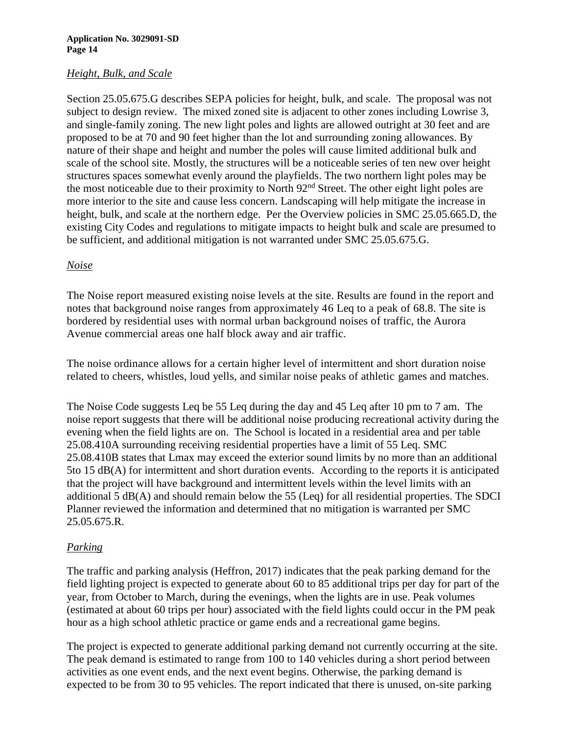## *Height, Bulk, and Scale*

Section 25.05.675.G describes SEPA policies for height, bulk, and scale. The proposal was not subject to design review. The mixed zoned site is adjacent to other zones including Lowrise 3, and single-family zoning. The new light poles and lights are allowed outright at 30 feet and are proposed to be at 70 and 90 feet higher than the lot and surrounding zoning allowances. By nature of their shape and height and number the poles will cause limited additional bulk and scale of the school site. Mostly, the structures will be a noticeable series of ten new over height structures spaces somewhat evenly around the playfields. The two northern light poles may be the most noticeable due to their proximity to North 92nd Street. The other eight light poles are more interior to the site and cause less concern. Landscaping will help mitigate the increase in height, bulk, and scale at the northern edge. Per the Overview policies in SMC 25.05.665.D, the existing City Codes and regulations to mitigate impacts to height bulk and scale are presumed to be sufficient, and additional mitigation is not warranted under SMC 25.05.675.G.

## *Noise*

The Noise report measured existing noise levels at the site. Results are found in the report and notes that background noise ranges from approximately 46 Leq to a peak of 68.8. The site is bordered by residential uses with normal urban background noises of traffic, the Aurora Avenue commercial areas one half block away and air traffic.

The noise ordinance allows for a certain higher level of intermittent and short duration noise related to cheers, whistles, loud yells, and similar noise peaks of athletic games and matches.

The Noise Code suggests Leq be 55 Leq during the day and 45 Leq after 10 pm to 7 am. The noise report suggests that there will be additional noise producing recreational activity during the evening when the field lights are on. The School is located in a residential area and per table 25.08.410A surrounding receiving residential properties have a limit of 55 Leq. SMC 25.08.410B states that Lmax may exceed the exterior sound limits by no more than an additional 5to 15 dB(A) for intermittent and short duration events. According to the reports it is anticipated that the project will have background and intermittent levels within the level limits with an additional 5 dB(A) and should remain below the 55 (Leq) for all residential properties. The SDCI Planner reviewed the information and determined that no mitigation is warranted per SMC 25.05.675.R.

## *Parking*

The traffic and parking analysis (Heffron, 2017) indicates that the peak parking demand for the field lighting project is expected to generate about 60 to 85 additional trips per day for part of the year, from October to March, during the evenings, when the lights are in use. Peak volumes (estimated at about 60 trips per hour) associated with the field lights could occur in the PM peak hour as a high school athletic practice or game ends and a recreational game begins.

The project is expected to generate additional parking demand not currently occurring at the site. The peak demand is estimated to range from 100 to 140 vehicles during a short period between activities as one event ends, and the next event begins. Otherwise, the parking demand is expected to be from 30 to 95 vehicles. The report indicated that there is unused, on-site parking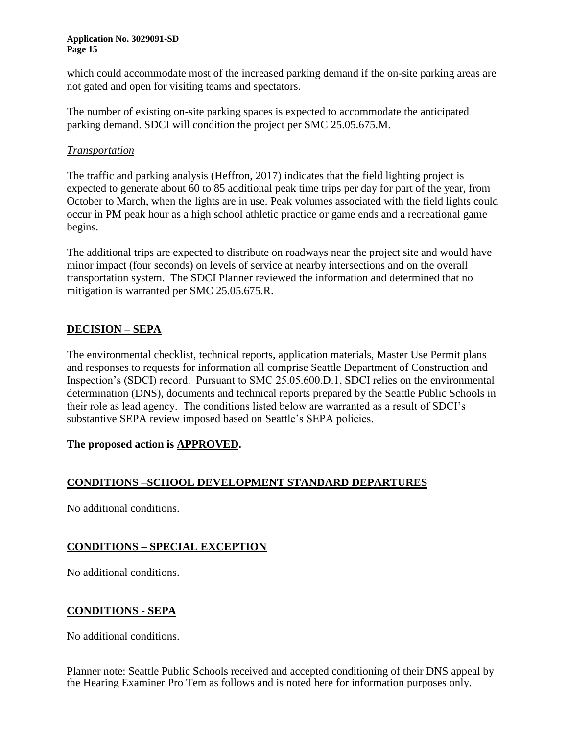which could accommodate most of the increased parking demand if the on-site parking areas are not gated and open for visiting teams and spectators.

The number of existing on-site parking spaces is expected to accommodate the anticipated parking demand. SDCI will condition the project per SMC 25.05.675.M.

## *Transportation*

The traffic and parking analysis (Heffron, 2017) indicates that the field lighting project is expected to generate about 60 to 85 additional peak time trips per day for part of the year, from October to March, when the lights are in use. Peak volumes associated with the field lights could occur in PM peak hour as a high school athletic practice or game ends and a recreational game begins.

The additional trips are expected to distribute on roadways near the project site and would have minor impact (four seconds) on levels of service at nearby intersections and on the overall transportation system. The SDCI Planner reviewed the information and determined that no mitigation is warranted per SMC 25.05.675.R.

## **DECISION – SEPA**

The environmental checklist, technical reports, application materials, Master Use Permit plans and responses to requests for information all comprise Seattle Department of Construction and Inspection's (SDCI) record. Pursuant to SMC 25.05.600.D.1, SDCI relies on the environmental determination (DNS), documents and technical reports prepared by the Seattle Public Schools in their role as lead agency. The conditions listed below are warranted as a result of SDCI's substantive SEPA review imposed based on Seattle's SEPA policies.

## **The proposed action is APPROVED.**

## **CONDITIONS –SCHOOL DEVELOPMENT STANDARD DEPARTURES**

No additional conditions.

## **CONDITIONS – SPECIAL EXCEPTION**

No additional conditions.

## **CONDITIONS - SEPA**

No additional conditions.

Planner note: Seattle Public Schools received and accepted conditioning of their DNS appeal by the Hearing Examiner Pro Tem as follows and is noted here for information purposes only.